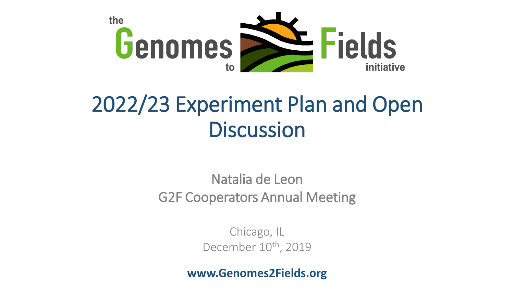

# 2022/23 Experiment Plan and Open **Discussion**

Natalia de Leon G2F Cooperators Annual Meeting

> Chicago, IL December 10<sup>th</sup>, 2019

**www.Genomes2Fields.org**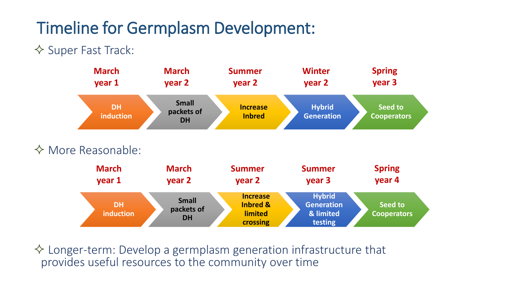### Timeline for Germplasm Development:

#### $\Diamond$  Super Fast Track:



 $\Diamond$  Longer-term: Develop a germplasm generation infrastructure that provides useful resources to the community over time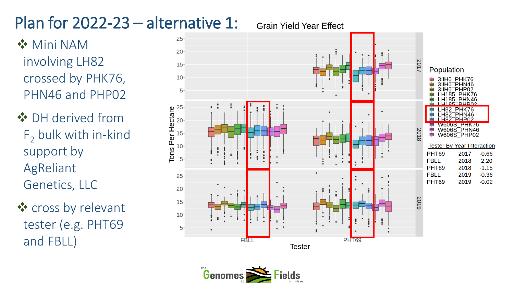## Plan for 2022-23 – alternative 1:

❖ Mini NAM involving LH82 crossed by PHK76, PHN46 and PHP02

❖ DH derived from  $F<sub>2</sub>$  bulk with in-kind support by AgReliant Genetics, LLC

❖ cross by relevant tester (e.g. PHT69 and FBLL)



**Grain Yield Year Effect** 

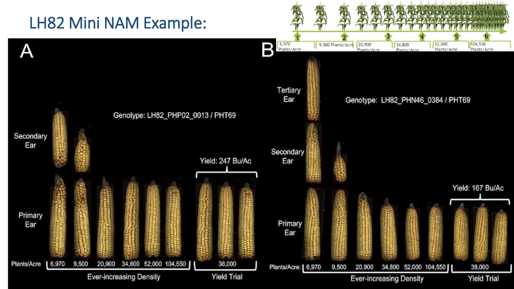### LH82 Mini NAM Example:

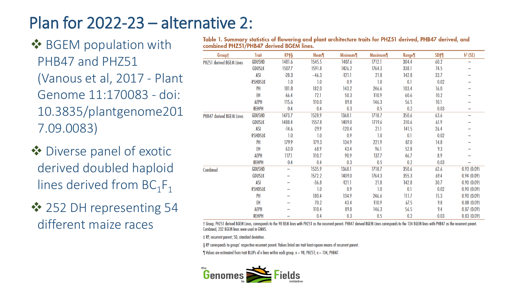### Plan for 2022-23 – alternative 2:

**❖ BGEM population with** PHB47 and PHZ51 (Vanous et al, 2017 - Plant Genome 11:170083 - doi: 10.3835/plantgenome201 7.09.0083)

- ❖ Diverse panel of exotic derived doubled haploid lines derived from  $BC_1F_1$
- ❖ 252 DH representing 54 different maize races

| Table 1. Summary statistics of flowering and plant architecture traits for PHZ51 derived, PHB47 derived, and |  |  |
|--------------------------------------------------------------------------------------------------------------|--|--|
| combined PHZ51/PHB47 derived BGEM lines.                                                                     |  |  |

| Group†                   | <b>Trait</b>   | RP‡§    | Mean¶   | <b>Minimum</b> | <b>Maximum</b> | Range¶ | SD <sup>#</sup> | $h2$ (SE)  |
|--------------------------|----------------|---------|---------|----------------|----------------|--------|-----------------|------------|
| PHZ51 derived BGEM Lines | <b>GDUSHD</b>  | 1481.6  | 1545.5  | 1407.6         | 1712.1         | 304.4  | 60.2            |            |
|                          | GDUSLK         | 1507.7  | 1591.8  | 1426.2         | 1764.3         | 338.1  | 74.5            |            |
|                          | ASI            | $-28.3$ | $-46.3$ | $-121.1$       | 21.8           | 142.8  | 33.7            |            |
|                          | <b>RSHDSLK</b> | 1.0     | 1.0     | 0.9            | 1.0            | 0.1    | 0.02            |            |
|                          | PH             | 181.8   | 182.0   | 143.2          | 246.6          | 103.4  | 16.0            |            |
|                          | EH             | 66.4    | 72.1    | 50.3           | 110.9          | 60.6   | 10.2            |            |
|                          | <b>AEPH</b>    | 115.6   | 110.0   | 89.8           | 146.3          | 56.5   | 10.1            |            |
|                          | <b>REHPH</b>   | 0.4     | 0.4     | 0.3            | 0.5            | 0.2    | 0.03            |            |
| PHB47 derived BGEM Lines | <b>GDUSHD</b>  | 1473.7  | 1528.9  | 1368.1         | 1718.7         | 350.6  | 63.6            |            |
|                          | <b>GDUSLK</b>  | 1488.4  | 1557.8  | 1409.0         | 1719.6         | 310.6  | 61.9            |            |
|                          | <b>ASI</b>     | $-14.6$ | $-29.9$ | $-120.4$       | 21.1           | 141.5  | 26.4            |            |
|                          | <b>RSHDSLK</b> | 1.0     | 1.0     | 0.9            | 1.0            | 0.1    | 0.02            |            |
|                          | PH             | 179.9   | 179.3   | 134.9          | 221.9          | 87.0   | 14.8            |            |
|                          | EH             | 63.0    | 68.9    | 43.4           | 96.1           | 52.8   | 9.3             |            |
|                          | AEPH           | 117.1   | 110.7   | 90.9           | 137.7          | 46.7   | 8.9             |            |
|                          | <b>REHPH</b>   | 0.4     | 0.4     | 0.3            | 0.5            | 0.2    | 0.03            |            |
| Combined                 | <b>GDUSHD</b>  | -       | 1535.9  | 1368.1         | 1718.7         | 350.6  | 62.6            | 0.93(0.09) |
|                          | <b>GDUSLK</b>  |         | 1572.2  | 1409.0         | 1764.3         | 355.3  | 69.4            | 0.94(0.09) |
|                          | ASI            |         | $-36.8$ | $-121.1$       | 21.8           | 142.8  | 30.7            | 0.90(0.09) |
|                          | <b>RSHDSLK</b> |         | 1.0     | 0.9            | 1.0            | 0.1    | 0.02            | 0.90(0.09) |
|                          | PH             |         | 180.4   | 134.9          | 246.6          | 111.7  | 15.3            | 0.90(0.09) |
|                          | EH             |         | 70.2    | 43.4           | 110.9          | 67.5   | 9.8             | 0.88(0.09) |
|                          | AEPH           |         | 110.4   | 89.8           | 146.3          | 56.5   | 9.4             | 0.87(0.09) |
|                          | <b>REHPH</b>   |         | 0.4     | 0.3            | 0.5            | 0.2    | 0.03            | 0.83(0.09) |

† Group, PHZ51 derived BGEM Lines, corresponds to the 98 BEM lines with PHZ51 as the recurrent parent. PHB47 derived BGEM Lines corresponds to the 134 BGEM lines with PHB47 as the recurrent parent. Combined, 232 BGEM lines were used in GWAS.

# RP, recurrent parent; SD, standard deviation.

§ RP corresponds to groups' respective recurrent parent. Values listed are trait least-square means of recurrent parent.

 $\parallel$  Values are estimated from trait BLUPs of n lines within each group. n = 98, PHZ51; n = 134, PHB47.

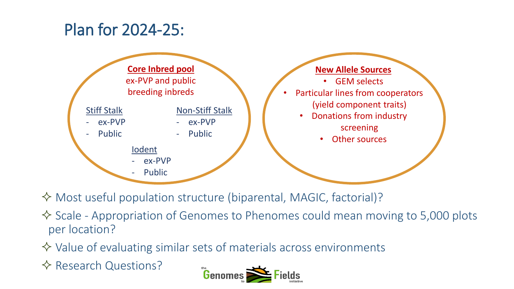### Plan for 2024-25:



Most useful population structure (biparental, MAGIC, factorial)?

 $\Diamond$  Scale - Appropriation of Genomes to Phenomes could mean moving to 5,000 plots per location?

 $\Diamond$  Value of evaluating similar sets of materials across environments

**☆ Research Questions?**